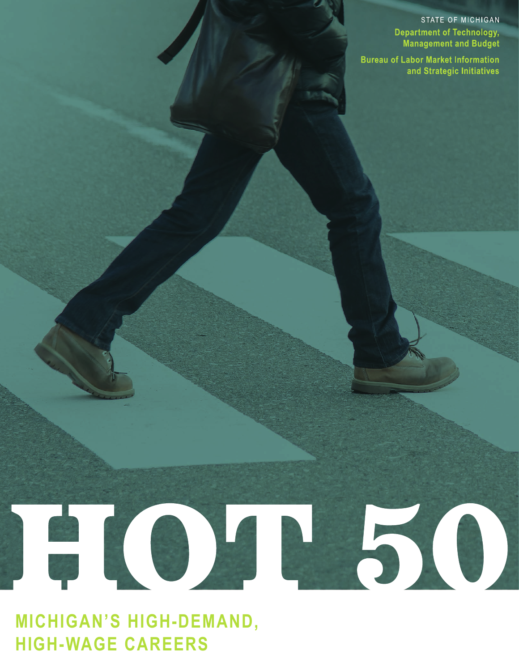STATE OF MICHIGAN **Department of Technology, Management and Budget** 

**Bureau of Labor Market Information** and Strategic Initiatives

# FOT50

**MICHIGAN'S HIGH-DEMAND, HIGH-WAGE CAREERS**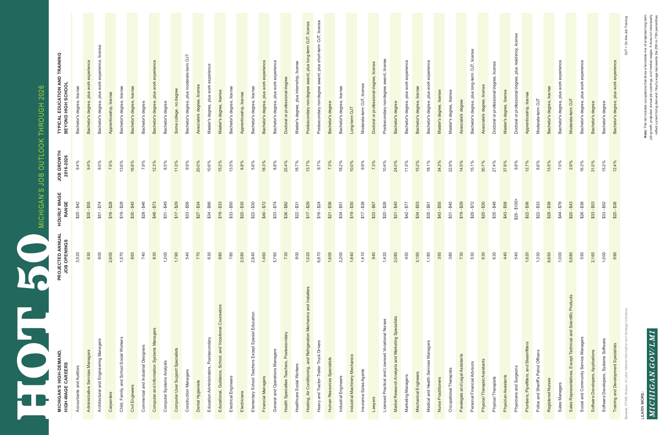**Note**: This list includes occupations that show a favorable mix of projected long-term<br>job growth, projected annual job openings, and median wages. It does not necessarily<br>reflect current hiring demand. Hourly wage repres **Note:** This list includes occupations that show a favorable mix of projected long-term job growth, projected annual job openings, and median wages. It does not necessarily reflect current hiring demand. Hourly wage represents the 25th to 75th percentiles.

LEARN MORE:  $MICHIGAM.GOV/LMI$ 

| MICHIGAN'S JOB OUTLOOK THROUGH 2026 | TYPICAL EDUCATION AND TRAINING<br>BEYOND HIGH SCHOOL | Bachelor's degree, license | Bachelor's degree, plus work experience | chelor's degree, plus work experience, licer | Apprenticeship, license                                | Bachelor's degree, license | Bachelor's degree, license<br>Bachelor's degree        | Bachelor's degree, plus work experience   | Bachelor's degree         | Some college, no degree           | Bachelor's degree, plus moderate-term OJT | Associate's degree, license | experience<br>Master's degree, plus work | Master's degree, license                                 | Bachelor's degree, license | chelor's degree, license<br>Apprenticeship, license<br>Ba           | Bachelor's degree, plus work experience | Bachelor's degree, plus work experience | Doctoral or professional degree            | Master's degree, plus internship, license | Postsecondary nondegree award, plus long-term OJT, license            | Postsecondary nondegree award, plus short-term OJT, license | chelor's degree<br>Ba       | Bachelor's degree, license | Long-term OJT                  | Moderate-term OJT, license | Doctoral or professional degree, license | Postsecondary nondegree award, license<br>Bachelor's degree                                             | chelor's degree, plus work experienc | Bachelor's degree, license | Bachelor's degree, plus work experience | Master's degree, license | Master's degree, license | Associate's degree              | Bachelor's degree, plus long-term OJT, license | Associate's degree, licen     | Doctoral or professional degree, license | license<br>Doctoral or professional degree, plus residency,<br>Master's degree, license | Apprenticeship, license                 | Moderate-term OJT                    | Bachelor's degree, license | experienc<br>chelor's degree, plus work | Moderate-term OJT                                               | experience<br>work<br>Bachelor's degree, plus | Bachelor's degree<br>Bachelor's degree                                     | Bachelor's degree, plus work experience | On-th<br>ЪО |
|-------------------------------------|------------------------------------------------------|----------------------------|-----------------------------------------|----------------------------------------------|--------------------------------------------------------|----------------------------|--------------------------------------------------------|-------------------------------------------|---------------------------|-----------------------------------|-------------------------------------------|-----------------------------|------------------------------------------|----------------------------------------------------------|----------------------------|---------------------------------------------------------------------|-----------------------------------------|-----------------------------------------|--------------------------------------------|-------------------------------------------|-----------------------------------------------------------------------|-------------------------------------------------------------|-----------------------------|----------------------------|--------------------------------|----------------------------|------------------------------------------|---------------------------------------------------------------------------------------------------------|--------------------------------------|----------------------------|-----------------------------------------|--------------------------|--------------------------|---------------------------------|------------------------------------------------|-------------------------------|------------------------------------------|-----------------------------------------------------------------------------------------|-----------------------------------------|--------------------------------------|----------------------------|-----------------------------------------|-----------------------------------------------------------------|-----------------------------------------------|----------------------------------------------------------------------------|-----------------------------------------|-------------|
|                                     | JOB GROWTH<br>2016-2026                              | 9.4%                       | 9.4%                                    | $9.0\%$                                      | 7.5%<br>13.6%                                          |                            | 16.8%<br>7.9%                                          | 12.3%                                     | 8.5%                      | 11.0%                             | 9.9%                                      | 20.0%                       | 10.6%                                    | 15.2%                                                    | 13.5%                      | 6.8%<br>5.6%                                                        | 18.3%                                   | 8.8%                                    | 25.4%                                      | 18.7%                                     | 13.7%                                                                 | 9.7%                                                        | 7.3%                        | 18.2%                      | 10.0%                          | $9.9\%$                    | 7.3%                                     | 10.4%<br>24.0%                                                                                          | 11.5%                                | 15.2%                      | 18.1%                                   | 34.3%                    | 22.9%                    | 14.5%                           | 15.1%                                          | 30.7%                         | 27.4%                                    | 9.8%<br>37.8%                                                                           | 12.7%                                   | 6.6%                                 | 13.5%                      | 7.0%                                    | 2.9%                                                            | 16.3%                                         | 31.0%<br>15.2%                                                             | 12.4%                                   |             |
|                                     | <b>HOURLY WAGE<br/>RANGE</b>                         | $$25 - $42$                | $$35 - $55$                             | $$51 - $74$                                  | $$16 - $28$<br>$$19 - $28$                             |                            | $$30 - $45$<br>$$28 - $46$                             | $$46 - $73$                               | $$31 - $49$               | $$17 - $29$                       | $$33 - $56$                               | $$27 - $34$                 | \$34 - \$66                              | $$19 - $33$                                              | $$33 - $50$                | $$20 - $35$<br>$$22 - $30$                                          | $$40 - $72$                             | $$33 - $74$                             | $$36 - $82$                                | $$22 - $31$                               | $$17 - $29$                                                           | $$16 - $24$                                                 | $$21 - $36$                 | $$34 - $51$                | $$19 - $30$                    | $$17 - $38$                | $$33 - $67$                              | $$20 - $26$<br>$$21 - $40$                                                                              | $$42 - $77$                          | $$34 - $53$                | $$35 - $61$                             | $$43 - $55$              | $$31 - $45$              | $$19 - $29$                     | $$26 - $72$                                    | $$20 - $30$                   | $$35 - $48$                              | $$29 - $100+$<br>$$43 - $58$                                                            | $$22 - $36$                             | $$22 - $33$                          | $$28 - $38$                | $844 - $78$                             | $$20 - $43$                                                     | $$26 - $38$                                   | $$33 - $53$<br>$$33 - $52$                                                 | $$20 - $36$                             |             |
|                                     | <b>PROJECTED ANNUAL<br/>JOB OPENINGS</b>             | 3,520                      | 630                                     | 800                                          | 2,600<br>1,570                                         |                            | 860<br>740                                             | 830                                       | 1,200                     | 1,790                             | 540                                       | 770                         | 630                                      | 880                                                      | 780                        | 2,580<br>2,840                                                      | 1,460                                   | 5,760                                   | 730                                        | 800                                       | 1,020                                                                 | 6,870                                                       | 1,600                       | 2,200                      | 1,840                          | 1,410                      | 940                                      | 1,420<br>2,080                                                                                          | 450                                  | 3,160                      | 1,180                                   | 350                      | 380                      | 730                             | 530                                            | 630                           | 630<br>440                               | 540                                                                                     | 1,620                                   | 1,330                                | 6,650                      | 1,000                                   | 5,680                                                           | 550                                           | 2,160<br>1,000                                                             | 690                                     |             |
|                                     | <b>MICHIGAN'S HIGH-DEMAND,<br/>HIGH-WAGE CAREERS</b> | Accountants and Auditors   | Administrative Services Managers        | Architectural and Engineering Managers       | Child, Family, and School Social Workers<br>Carpenters |                            | Commercial and Industrial Designers<br>Civil Engineers | Computer and Information Systems Managers | Computer Systems Analysts | Computer User Support Specialists | <b>Construction Managers</b>              | Dental Hygienists           | Education Administrators, Postsecondary  | Educational, Guidance, School, and Vocational Counselors | Electrical Engineers       | Elementary School Teachers Except Special Education<br>Electricians | Financial Managers                      | General and Operations Managers         | Health Specialties Teachers, Postsecondary | Healthcare Social Workers                 | Heating, Air Conditioning, and Refrigeration Mechanics and Installers | Heavy and Tractor-Trailer Truck Drivers                     | Human Resources Specialists | Industrial Engineers       | Industrial Machinery Mechanics | Insurance Sales Agents     | Lawyers                                  | Market Research Analysts and Marketing Specialists<br>Licensed Practical and Licensed Vocational Nurses | Marketing Managers                   | Mechanical Engineers       | Medical and Health Services Managers    | Nurse Practitioners      | Occupational Therapists  | Paralegals and Legal Assistants | Personal Financial Advisors                    | Physical Therapist Assistants | Physical Therapists                      | Physicians and Surgeons<br>Physician Assistants                                         | Plumbers, Pipefitters, and Steamfitters | Police and Sheriff's Patrol Officers | Registered Nurses          | Sales Managers                          | Sales Representatives, Except Technical and Scientific Products | Social and Community Service Managers         | Software Developers, Systems Software<br>Software Developers, Applications | Training and Development Specialists    | e: DTMB, B  |